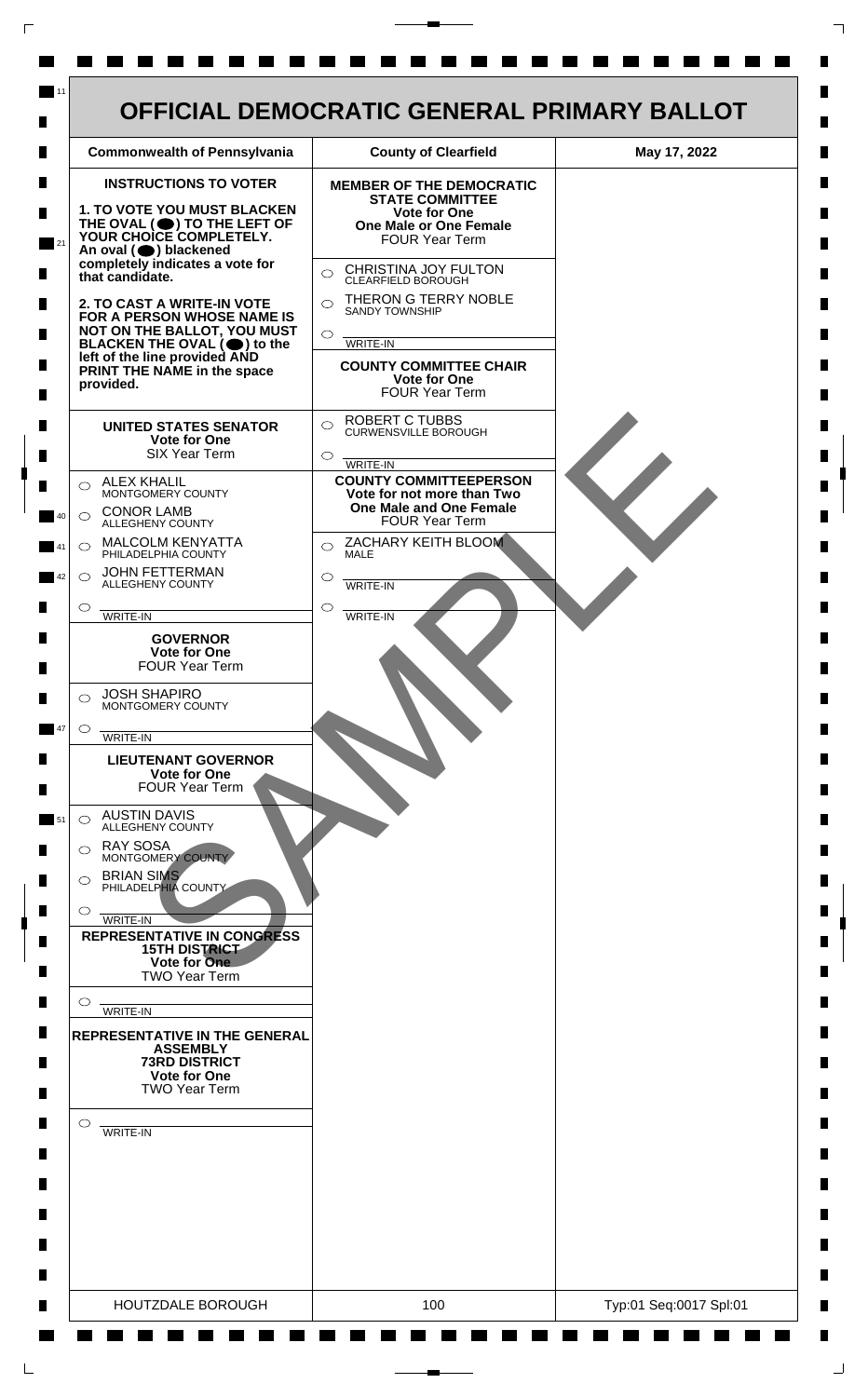

 $\mathsf{L}$